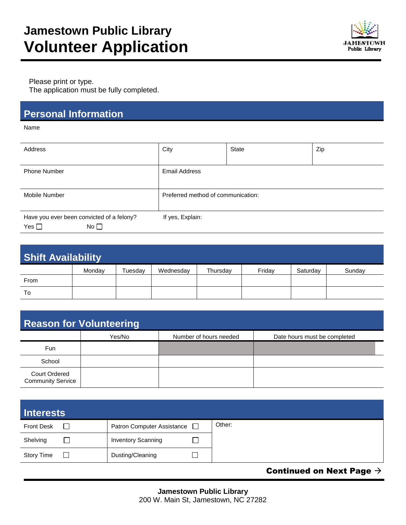

Please print or type.

The application must be fully completed.

## **Personal Information**

Name

| Address                                                                    | City                               | State | Zip |  |
|----------------------------------------------------------------------------|------------------------------------|-------|-----|--|
| <b>Phone Number</b>                                                        | <b>Email Address</b>               |       |     |  |
| Mobile Number                                                              | Preferred method of communication: |       |     |  |
| Have you ever been convicted of a felony?<br>No $\square$<br>Yes $\square$ | If yes, Explain:                   |       |     |  |

| <b>Shift Availability</b> |        |         |           |          |        |          |        |
|---------------------------|--------|---------|-----------|----------|--------|----------|--------|
|                           | Mondav | Tuesdav | Wednesday | Thursday | Friday | Saturdav | Sunday |
| From                      |        |         |           |          |        |          |        |
| To                        |        |         |           |          |        |          |        |

| <b>Reason for Volunteering</b>                   |        |                        |                              |  |
|--------------------------------------------------|--------|------------------------|------------------------------|--|
|                                                  | Yes/No | Number of hours needed | Date hours must be completed |  |
| Fun                                              |        |                        |                              |  |
| School                                           |        |                        |                              |  |
| <b>Court Ordered</b><br><b>Community Service</b> |        |                        |                              |  |

| <b>Interests</b>  |                                   |        |
|-------------------|-----------------------------------|--------|
| <b>Front Desk</b> | <b>Patron Computer Assistance</b> | Other: |
| Shelving          | <b>Inventory Scanning</b>         |        |
| <b>Story Time</b> | Dusting/Cleaning                  |        |

Continued on Next Page  $\rightarrow$